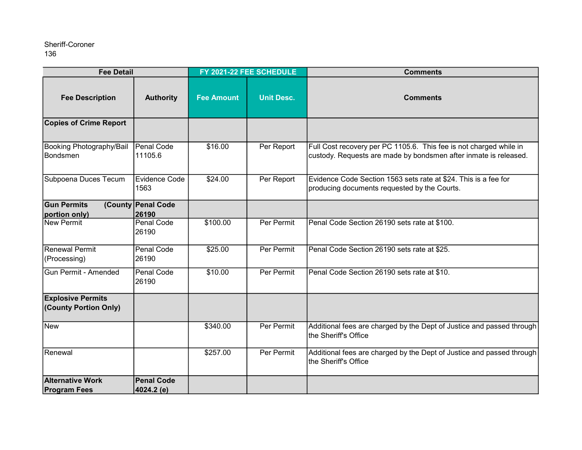| <b>Fee Detail</b>                                 |                                 | FY 2021-22 FEE SCHEDULE |                   | <b>Comments</b>                                                                                                                        |
|---------------------------------------------------|---------------------------------|-------------------------|-------------------|----------------------------------------------------------------------------------------------------------------------------------------|
| <b>Fee Description</b>                            | <b>Authority</b>                | <b>Fee Amount</b>       | <b>Unit Desc.</b> | <b>Comments</b>                                                                                                                        |
| <b>Copies of Crime Report</b>                     |                                 |                         |                   |                                                                                                                                        |
| Booking Photography/Bail<br>Bondsmen              | Penal Code<br>11105.6           | \$16.00                 | Per Report        | Full Cost recovery per PC 1105.6. This fee is not charged while in<br>custody. Requests are made by bondsmen after inmate is released. |
| Subpoena Duces Tecum                              | <b>Evidence Code</b><br>1563    | \$24.00                 | Per Report        | Evidence Code Section 1563 sets rate at \$24. This is a fee for<br>producing documents requested by the Courts.                        |
| <b>Gun Permits</b><br>portion only)               | (County Penal Code<br>26190     |                         |                   |                                                                                                                                        |
| New Permit                                        | <b>Penal Code</b><br>26190      | \$100.00                | Per Permit        | Penal Code Section 26190 sets rate at \$100.                                                                                           |
| Renewal Permit<br>(Processing)                    | <b>Penal Code</b><br>26190      | \$25.00                 | Per Permit        | Penal Code Section 26190 sets rate at \$25.                                                                                            |
| <b>Gun Permit - Amended</b>                       | <b>Penal Code</b><br>26190      | \$10.00                 | Per Permit        | Penal Code Section 26190 sets rate at \$10.                                                                                            |
| <b>Explosive Permits</b><br>(County Portion Only) |                                 |                         |                   |                                                                                                                                        |
| <b>New</b>                                        |                                 | \$340.00                | Per Permit        | Additional fees are charged by the Dept of Justice and passed through<br>Ithe Sheriff's Office                                         |
| Renewal                                           |                                 | \$257.00                | Per Permit        | Additional fees are charged by the Dept of Justice and passed through<br>Ithe Sheriff's Office                                         |
| <b>Alternative Work</b><br><b>Program Fees</b>    | <b>Penal Code</b><br>4024.2 (e) |                         |                   |                                                                                                                                        |
|                                                   |                                 |                         |                   |                                                                                                                                        |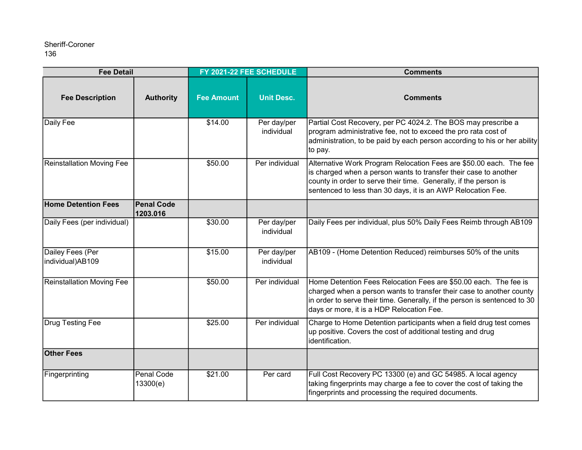| <b>Fee Detail</b>                    |                               | FY 2021-22 FEE SCHEDULE |                           | <b>Comments</b>                                                                                                                                                                                                                                                            |
|--------------------------------------|-------------------------------|-------------------------|---------------------------|----------------------------------------------------------------------------------------------------------------------------------------------------------------------------------------------------------------------------------------------------------------------------|
| <b>Fee Description</b>               | <b>Authority</b>              | <b>Fee Amount</b>       | <b>Unit Desc.</b>         | <b>Comments</b>                                                                                                                                                                                                                                                            |
| Daily Fee                            |                               | \$14.00                 | Per day/per<br>individual | Partial Cost Recovery, per PC 4024.2. The BOS may prescribe a<br>program administrative fee, not to exceed the pro rata cost of<br>administration, to be paid by each person according to his or her ability<br>to pay.                                                    |
| Reinstallation Moving Fee            |                               | \$50.00                 | Per individual            | Alternative Work Program Relocation Fees are \$50.00 each. The fee<br>is charged when a person wants to transfer their case to another<br>county in order to serve their time. Generally, if the person is<br>sentenced to less than 30 days, it is an AWP Relocation Fee. |
| <b>Home Detention Fees</b>           | <b>Penal Code</b><br>1203.016 |                         |                           |                                                                                                                                                                                                                                                                            |
| Daily Fees (per individual)          |                               | \$30.00                 | Per day/per<br>individual | Daily Fees per individual, plus 50% Daily Fees Reimb through AB109                                                                                                                                                                                                         |
| Dailey Fees (Per<br>individual)AB109 |                               | \$15.00                 | Per day/per<br>individual | AB109 - (Home Detention Reduced) reimburses 50% of the units                                                                                                                                                                                                               |
| <b>Reinstallation Moving Fee</b>     |                               | \$50.00                 | Per individual            | Home Detention Fees Relocation Fees are \$50.00 each. The fee is<br>charged when a person wants to transfer their case to another county<br>in order to serve their time. Generally, if the person is sentenced to 30<br>days or more, it is a HDP Relocation Fee.         |
| <b>Drug Testing Fee</b>              |                               | \$25.00                 | Per individual            | Charge to Home Detention participants when a field drug test comes<br>up positive. Covers the cost of additional testing and drug<br>identification.                                                                                                                       |
| <b>Other Fees</b>                    |                               |                         |                           |                                                                                                                                                                                                                                                                            |
| Fingerprinting                       | <b>Penal Code</b><br>13300(e) | \$21.00                 | Per card                  | Full Cost Recovery PC 13300 (e) and GC 54985. A local agency<br>taking fingerprints may charge a fee to cover the cost of taking the<br>fingerprints and processing the required documents.                                                                                |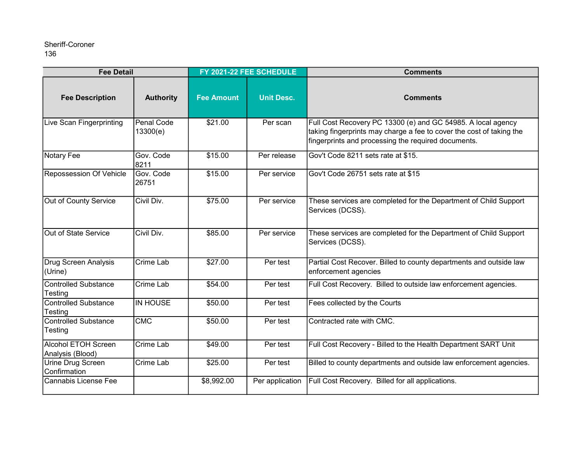| <b>Fee Detail</b>                              |                        | FY 2021-22 FEE SCHEDULE |                   | <b>Comments</b>                                                                                                                                                                             |
|------------------------------------------------|------------------------|-------------------------|-------------------|---------------------------------------------------------------------------------------------------------------------------------------------------------------------------------------------|
| <b>Fee Description</b>                         | <b>Authority</b>       | <b>Fee Amount</b>       | <b>Unit Desc.</b> | <b>Comments</b>                                                                                                                                                                             |
| Live Scan Fingerprinting                       | Penal Code<br>13300(e) | \$21.00                 | Per scan          | Full Cost Recovery PC 13300 (e) and GC 54985. A local agency<br>taking fingerprints may charge a fee to cover the cost of taking the<br>fingerprints and processing the required documents. |
| Notary Fee                                     | Gov. Code<br>8211      | \$15.00                 | Per release       | Gov't Code 8211 sets rate at \$15.                                                                                                                                                          |
| Repossession Of Vehicle                        | Gov. Code<br>26751     | \$15.00                 | Per service       | Gov't Code 26751 sets rate at \$15                                                                                                                                                          |
| Out of County Service                          | Civil Div.             | \$75.00                 | Per service       | These services are completed for the Department of Child Support<br>Services (DCSS).                                                                                                        |
| Out of State Service                           | Civil Div.             | \$85.00                 | Per service       | These services are completed for the Department of Child Support<br>Services (DCSS).                                                                                                        |
| <b>Drug Screen Analysis</b><br>(Urine)         | <b>Crime Lab</b>       | \$27.00                 | Per test          | Partial Cost Recover. Billed to county departments and outside law<br>enforcement agencies                                                                                                  |
| <b>Controlled Substance</b><br>Testing         | Crime Lab              | \$54.00                 | Per test          | Full Cost Recovery. Billed to outside law enforcement agencies.                                                                                                                             |
| <b>Controlled Substance</b><br>Testing         | <b>IN HOUSE</b>        | \$50.00                 | Per test          | Fees collected by the Courts                                                                                                                                                                |
| <b>Controlled Substance</b><br>Testing         | CMC                    | \$50.00                 | Per test          | Contracted rate with CMC.                                                                                                                                                                   |
| <b>Alcohol ETOH Screen</b><br>Analysis (Blood) | Crime Lab              | \$49.00                 | Per test          | Full Cost Recovery - Billed to the Health Department SART Unit                                                                                                                              |
| Urine Drug Screen<br>Confirmation              | Crime Lab              | \$25.00                 | Per test          | Billed to county departments and outside law enforcement agencies.                                                                                                                          |
| Cannabis License Fee                           |                        | \$8,992.00              | Per application   | Full Cost Recovery. Billed for all applications.                                                                                                                                            |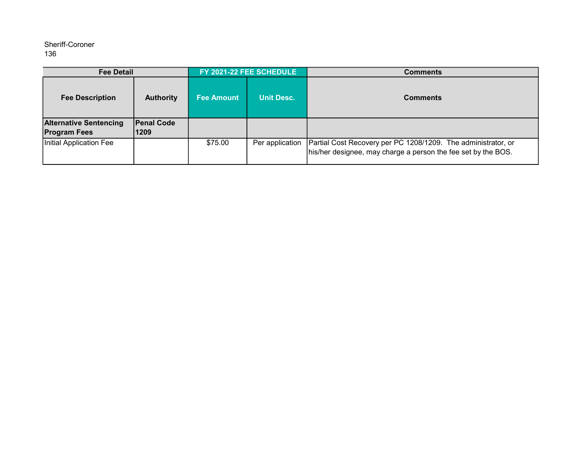| <b>Fee Detail</b>                                    |                           | FY 2021-22 FEE SCHEDULE |                   | <b>Comments</b>                                                                                                                |
|------------------------------------------------------|---------------------------|-------------------------|-------------------|--------------------------------------------------------------------------------------------------------------------------------|
| <b>Fee Description</b>                               | <b>Authority</b>          | <b>Fee Amount</b>       | <b>Unit Desc.</b> | <b>Comments</b>                                                                                                                |
| <b>Alternative Sentencing</b><br><b>Program Fees</b> | <b>Penal Code</b><br>1209 |                         |                   |                                                                                                                                |
| Initial Application Fee                              |                           | \$75.00                 | Per application   | Partial Cost Recovery per PC 1208/1209. The administrator, or<br>his/her designee, may charge a person the fee set by the BOS. |